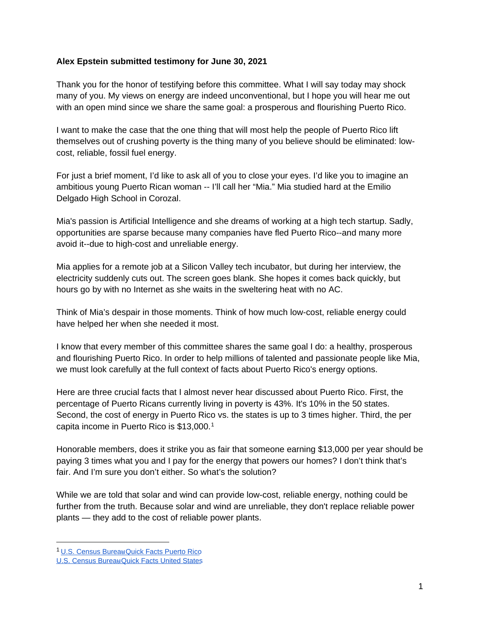### **Alex Epstein submitted testimony for June 30, 2021**

Thank you for the honor of testifying before this committee. What I will say today may shock many of you. My views on energy are indeed unconventional, but I hope you will hear me out with an open mind since we share the same goal: a prosperous and flourishing Puerto Rico.

I want to make the case that the one thing that will most help the people of Puerto Rico lift themselves out of crushing poverty is the thing many of you believe should be eliminated: lowcost, reliable, fossil fuel energy.

For just a brief moment, I'd like to ask all of you to close your eyes. I'd like you to imagine an ambitious young Puerto Rican woman -- I'll call her "Mia." Mia studied hard at the Emilio Delgado High School in Corozal.

Mia's passion is Artificial Intelligence and she dreams of working at a high tech startup. Sadly, opportunities are sparse because many companies have fled Puerto Rico--and many more avoid it--due to high-cost and unreliable energy.

Mia applies for a remote job at a Silicon Valley tech incubator, but during her interview, the electricity suddenly cuts out. The screen goes blank. She hopes it comes back quickly, but hours go by with no Internet as she waits in the sweltering heat with no AC.

Think of Mia's despair in those moments. Think of how much low-cost, reliable energy could have helped her when she needed it most.

I know that every member of this committee shares the same goal I do: a healthy, prosperous and flourishing Puerto Rico. In order to help millions of talented and passionate people like Mia, we must look carefully at the full context of facts about Puerto Rico's energy options.

Here are three crucial facts that I almost never hear discussed about Puerto Rico. First, the percentage of Puerto Ricans currently living in poverty is 43%. It's 10% in the 50 states. Second, the cost of energy in Puerto Rico vs. the states is up to 3 times higher. Third, the per capita income in Puerto Rico is \$13,000.[1](#page-0-0)

Honorable members, does it strike you as fair that someone earning \$13,000 per year should be paying 3 times what you and I pay for the energy that powers our homes? I don't think that's fair. And I'm sure you don't either. So what's the solution?

While we are told that solar and wind can provide low-cost, reliable energy, nothing could be further from the truth. Because solar and wind are unreliable, they don't replace reliable power plants — they add to the cost of reliable power plants.

<span id="page-0-0"></span><sup>&</sup>lt;sup>1</sup> U.S. Census Bureau [Quick Facts Puerto Rico](https://www.census.gov/quickfacts/fact/table/PR/INC910219)

U.S. Census Bureau [Quick Facts United States](https://www.census.gov/quickfacts/fact/table/US/INC910219)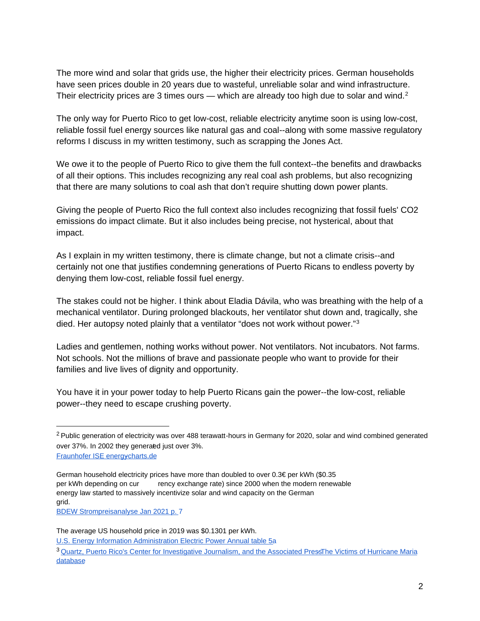The more wind and solar that grids use, the higher their electricity prices. German households have seen prices double in 20 years due to wasteful, unreliable solar and wind infrastructure. Their electricity prices are 3 times ours — which are already too high due to solar and wind.<sup>[2](#page-1-0)</sup>

The only way for Puerto Rico to get low-cost, reliable electricity anytime soon is using low-cost, reliable fossil fuel energy sources like natural gas and coal--along with some massive regulatory reforms I discuss in my written testimony, such as scrapping the Jones Act.

We owe it to the people of Puerto Rico to give them the full context--the benefits and drawbacks of all their options. This includes recognizing any real coal ash problems, but also recognizing that there are many solutions to coal ash that don't require shutting down power plants.

Giving the people of Puerto Rico the full context also includes recognizing that fossil fuels' CO2 emissions do impact climate. But it also includes being precise, not hysterical, about that impact.

As I explain in my written testimony, there is climate change, but not a climate crisis--and certainly not one that justifies condemning generations of Puerto Ricans to endless poverty by denying them low-cost, reliable fossil fuel energy.

The stakes could not be higher. I think about Eladia Dávila, who was breathing with the help of a mechanical ventilator. During prolonged blackouts, her ventilator shut down and, tragically, she died. Her autopsy noted plainly that a ventilator "does not work without power."[3](#page-1-1)

Ladies and gentlemen, nothing works without power. Not ventilators. Not incubators. Not farms. Not schools. Not the millions of brave and passionate people who want to provide for their families and live lives of dignity and opportunity.

You have it in your power today to help Puerto Ricans gain the power--the low-cost, reliable power--they need to escape crushing poverty.

[BDEW Strompreisanalyse Jan 2021 p. 7](https://www.bdew.de/service/daten-und-grafiken/bdew-strompreisanalyse/)

[U.S. Energy Information Administration Electric Power Annual table 5a](https://www.eia.gov/electricity/sales_revenue_price/pdf/table5_a.pdf)

<span id="page-1-0"></span> $2$  Public generation of electricity was over 488 terawatt-hours in Germany for 2020, solar and wind combined generated over 37%. In 2002 they generated just over 3%. Fraunhofer ISE energycharts.de

German household electricity prices have more than doubled to over 0.3€ per kWh (\$0.35 per kWh depending on cur rency exchange rate) since 2000 when the modern renewable energy law started to massively incentivize solar and wind capacity on the German grid.

The average US household price in 2019 was \$0.1301 per kWh.

<span id="page-1-1"></span><sup>&</sup>lt;sup>3</sup> Quartz, Puerto Rico's Center for Investigative Journalism, and the Associated PressThe Victims of Hurricane Maria [database](https://hurricanemariasdead.com/database.html#eladia-davila-1121)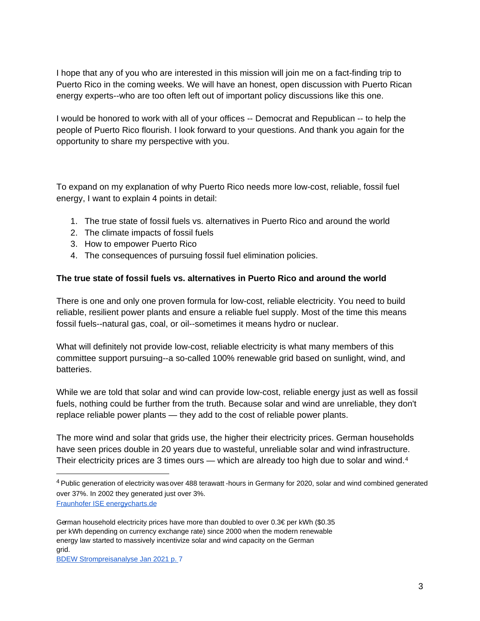I hope that any of you who are interested in this mission will join me on a fact-finding trip to Puerto Rico in the coming weeks. We will have an honest, open discussion with Puerto Rican energy experts--who are too often left out of important policy discussions like this one.

I would be honored to work with all of your offices -- Democrat and Republican -- to help the people of Puerto Rico flourish. I look forward to your questions. And thank you again for the opportunity to share my perspective with you.

To expand on my explanation of why Puerto Rico needs more low-cost, reliable, fossil fuel energy, I want to explain 4 points in detail:

- 1. The true state of fossil fuels vs. alternatives in Puerto Rico and around the world
- 2. The climate impacts of fossil fuels
- 3. How to empower Puerto Rico
- 4. The consequences of pursuing fossil fuel elimination policies.

# **The true state of fossil fuels vs. alternatives in Puerto Rico and around the world**

There is one and only one proven formula for low-cost, reliable electricity. You need to build reliable, resilient power plants and ensure a reliable fuel supply. Most of the time this means fossil fuels--natural gas, coal, or oil--sometimes it means hydro or nuclear.

What will definitely not provide low-cost, reliable electricity is what many members of this committee support pursuing--a so-called 100% renewable grid based on sunlight, wind, and batteries.

While we are told that solar and wind can provide low-cost, reliable energy just as well as fossil fuels, nothing could be further from the truth. Because solar and wind are unreliable, they don't replace reliable power plants — they add to the cost of reliable power plants.

The more wind and solar that grids use, the higher their electricity prices. German households have seen prices double in 20 years due to wasteful, unreliable solar and wind infrastructure. Their electricity prices are 3 times ours — which are already too high due to solar and wind.<sup>[4](#page-2-0)</sup>

<span id="page-2-0"></span><sup>4</sup> Public generation of electricity was over 488 terawatt -hours in Germany for 2020, solar and wind combined generated over 37%. In 2002 they generated just over 3%.

Fraunhofer ISE energycharts.de

German household electricity prices have more than doubled to over  $0.3 \epsilon$  per kWh (\$0.35 per kWh depending on currency exchange rate) since 2000 when the modern renewable energy law started to massively incentivize solar and wind capacity on the German grid.

[BDEW Strompreisanalyse Jan 2021 p. 7](https://www.bdew.de/service/daten-und-grafiken/bdew-strompreisanalyse/)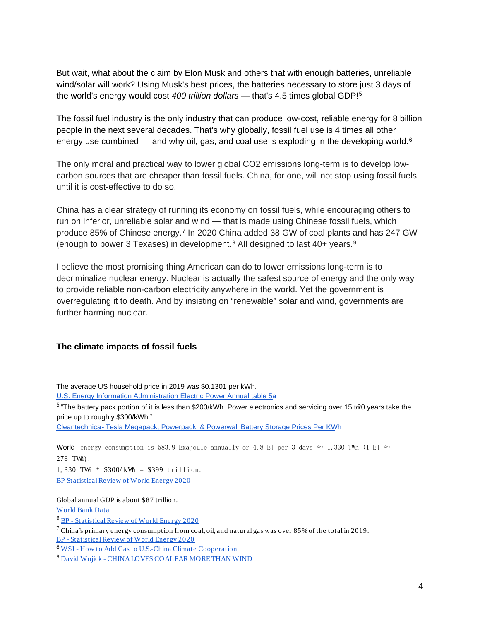But wait, what about the claim by Elon Musk and others that with enough batteries, unreliable wind/solar will work? Using Musk's best prices, the batteries necessary to store just 3 days of the world's energy would cost *400 trillion dollars* — that's 4.5 times global GDP![5](#page-3-0)

The fossil fuel industry is the only industry that can produce low-cost, reliable energy for 8 billion people in the next several decades. That's why globally, fossil fuel use is 4 times all other energy use combined — and why oil, gas, and coal use is exploding in the developing world. $6$ 

The only moral and practical way to lower global CO2 emissions long-term is to develop lowcarbon sources that are cheaper than fossil fuels. China, for one, will not stop using fossil fuels until it is cost-effective to do so.

China has a clear strategy of running its economy on fossil fuels, while encouraging others to run on inferior, unreliable solar and wind — that is made using Chinese fossil fuels, which produce 85% of Chinese energy.[7](#page-3-2) In 2020 China added 38 GW of coal plants and has 247 GW (enough to power 3 Texases) in development.<sup>[8](#page-3-3)</sup> All designed to last 40+ years.<sup>[9](#page-3-4)</sup>

I believe the most promising thing American can do to lower emissions long-term is to decriminalize nuclear energy. Nuclear is actually the safest source of energy and the only way to provide reliable non-carbon electricity anywhere in the world. Yet the government is overregulating it to death. And by insisting on "renewable" solar and wind, governments are further harming nuclear.

### **The climate impacts of fossil fuels**

1, 330 TWh  $*$  \$300/kWh = \$399 trillion. [BP Statistical Review of World Energy 2020](https://www.bp.com/en/global/corporate/energy-economics/statistical-review-of-world-energy.html)

Global annual GDP is about \$87 trillion.

[World Bank Data](https://data.worldbank.org/indicator/NY.GDP.MKTP.CD)

<span id="page-3-1"></span><sup>6</sup> BP - [Statistical Review of World Energy 2020](https://www.bp.com/en/global/corporate/energy-economics/statistical-review-of-world-energy.html)

<span id="page-3-2"></span><sup>7</sup> China's primary energy consumption from coal, oil, and natural gas was over 85% of the total in 2019. BP - [Statistical Review of World Energy 2020](https://www.bp.com/en/global/corporate/energy-economics/statistical-review-of-world-energy.html)

<span id="page-3-4"></span><sup>9</sup> David Wojick - [CHINA LOVES COAL FAR MORE THAN WIND](https://www.heartland.org/news-opinion/news/china-loves-coal-far-more-than-wind)

The average US household price in 2019 was \$0.1301 per kWh.

[U.S. Energy Information Administration Electric Power Annual table 5a](https://www.eia.gov/electricity/sales_revenue_price/pdf/table5_a.pdf)

<span id="page-3-0"></span> $5$  "The battery pack portion of it is less than \$200/kWh. Power electronics and servicing over 15 t $\alpha$ 0 years take the price up to roughly \$300/kWh."

Cleantechnica - [Tesla Megapack, Powerpack, & Powerwall Battery Storage Prices Per KW](https://cleantechnica.com/2020/10/05/tesla-megapack-powerpack-powerwall-battery-storage-prices/)h

World energy consumption is 583.9 Exajoule annually or 4.8 EJ per 3 days  $\approx$  1,330 TWh (1 EJ  $\approx$ 278 TWh) .

<span id="page-3-3"></span><sup>8</sup> WSJ - [How to Add Gas to U.S.-China Climate Cooperation](https://www.wsj.com/articles/how-to-add-gas-to-u-s-china-climate-cooperation-11619402874#:%7E:text=In%20early%202021%2C%20China%20had,of%20Germany)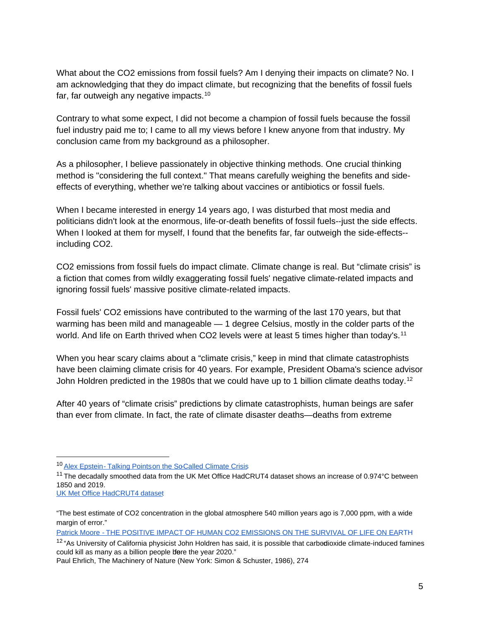What about the CO2 emissions from fossil fuels? Am I denying their impacts on climate? No. I am acknowledging that they do impact climate, but recognizing that the benefits of fossil fuels far, far outweigh any negative impacts.[10](#page-4-0)

Contrary to what some expect, I did not become a champion of fossil fuels because the fossil fuel industry paid me to; I came to all my views before I knew anyone from that industry. My conclusion came from my background as a philosopher.

As a philosopher, I believe passionately in objective thinking methods. One crucial thinking method is "considering the full context." That means carefully weighing the benefits and sideeffects of everything, whether we're talking about vaccines or antibiotics or fossil fuels.

When I became interested in energy 14 years ago, I was disturbed that most media and politicians didn't look at the enormous, life-or-death benefits of fossil fuels--just the side effects. When I looked at them for myself, I found that the benefits far, far outweigh the side-effects- including CO2.

CO2 emissions from fossil fuels do impact climate. Climate change is real. But "climate crisis" is a fiction that comes from wildly exaggerating fossil fuels' negative climate-related impacts and ignoring fossil fuels' massive positive climate-related impacts.

Fossil fuels' CO2 emissions have contributed to the warming of the last 170 years, but that warming has been mild and manageable — 1 degree Celsius, mostly in the colder parts of the world. And life on Earth thrived when CO2 levels were at least 5 times higher than today's.<sup>[11](#page-4-1)</sup>

When you hear scary claims about a "climate crisis," keep in mind that climate catastrophists have been claiming climate crisis for 40 years. For example, President Obama's science advisor John Holdren predicted in the 1980s that we could have up to 1 billion climate deaths today.<sup>[12](#page-4-2)</sup>

After 40 years of "climate crisis" predictions by climate catastrophists, human beings are safer than ever from climate. In fact, the rate of climate disaster deaths—deaths from extreme

<span id="page-4-0"></span><sup>&</sup>lt;sup>10</sup> Alex Epstein - Talking Points on the So-Called Climate Crisis

<span id="page-4-1"></span> $11$  The decadally smoothed data from the UK Met Office HadCRUT4 dataset shows an increase of 0.974 $^{\circ}$ C between 1850 and 2019.

[UK Met Office HadCRUT4 dataset](https://www.metoffice.gov.uk/hadobs/hadcrut4/)

<sup>&</sup>quot;The best estimate of CO2 concentration in the global atmosphere 540 million years ago is 7,000 ppm, with a wide margin of error."

Patrick Moore - [THE POSITIVE IMPACT OF HUMAN CO2 EMISSIONS ON THE SURVIVAL OF LIFE ON EAR](https://fcpp.org/wp-content/uploads/2016/06/Moore-Positive-Impact-of-Human-CO2-Emissions.pdf)TH

<span id="page-4-2"></span> $12$  "As University of California physicist John Holdren has said, it is possible that carbodioxide climate-induced famines could kill as many as a billion people bere the year 2020."

Paul Ehrlich, The Machinery of Nature (New York: Simon & Schuster, 1986), 274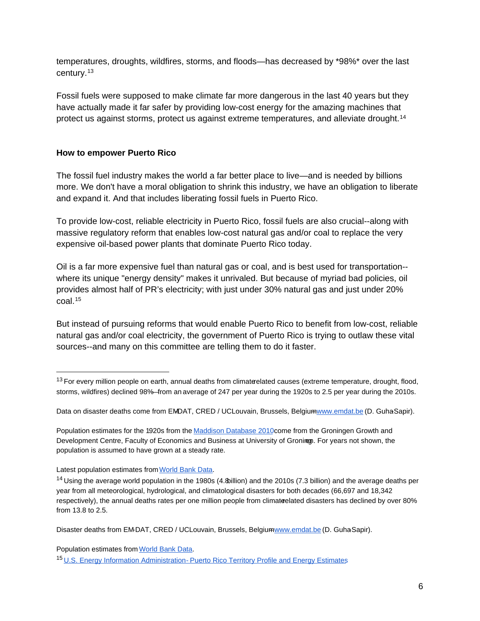temperatures, droughts, wildfires, storms, and floods—has decreased by \*98%\* over the last century.[13](#page-5-0)

Fossil fuels were supposed to make climate far more dangerous in the last 40 years but they have actually made it far safer by providing low-cost energy for the amazing machines that protect us against storms, protect us against extreme temperatures, and alleviate drought.[14](#page-5-1)

# **How to empower Puerto Rico**

The fossil fuel industry makes the world a far better place to live—and is needed by billions more. We don't have a moral obligation to shrink this industry, we have an obligation to liberate and expand it. And that includes liberating fossil fuels in Puerto Rico.

To provide low-cost, reliable electricity in Puerto Rico, fossil fuels are also crucial--along with massive regulatory reform that enables low-cost natural gas and/or coal to replace the very expensive oil-based power plants that dominate Puerto Rico today.

Oil is a far more expensive fuel than natural gas or coal, and is best used for transportation- where its unique "energy density" makes it unrivaled. But because of myriad bad policies, oil provides almost half of PR's electricity; with just under 30% natural gas and just under 20% coal.[15](#page-5-2)

But instead of pursuing reforms that would enable Puerto Rico to benefit from low-cost, reliable natural gas and/or coal electricity, the government of Puerto Rico is trying to outlaw these vital sources--and many on this committee are telling them to do it faster.

Data on disaster deaths come from EMDAT, CRED / UCLouvain, Brussels, Belgium [www.emdat.be](http://www.emdat.be/) (D. Guha-Sapir).

Population estimates for the 1920s from th[e Maddison Database 2010c](https://www.rug.nl/ggdc/historicaldevelopment/maddison/releases/maddison-database-2010)ome from the Groningen Growth and Development Centre, Faculty of Economics and Business at University of Groningn. For years not shown, the population is assumed to have grown at a steady rate.

Population estimates fro[m World Bank Data.](https://data.worldbank.org/indicator/SP.POP.TOTL)

<span id="page-5-0"></span> $13$  For every million people on earth, annual deaths from climaterelated causes (extreme temperature, drought, flood, storms, wildfires) declined 98%—from an average of 247 per year during the 1920s to 2.5 per year during the 2010s.

Latest population estimates fro[m World Bank Data.](https://data.worldbank.org/indicator/SP.POP.TOTL)

<span id="page-5-1"></span><sup>14</sup> Using the average world population in the 1980s (4.8billion) and the 2010s (7.3 billion) and the average deaths per year from all meteorological, hydrological, and climatological disasters for both decades (66,697 and 18,342 respectively), the annual deaths rates per one million people from climateelated disasters has declined by over 80% from 13.8 to 2.5.

Disaster deaths from EM-DAT, CRED / UCLouvain, Brussels, Belgium [www.emdat.be](http://www.emdat.be/) (D. Guha-Sapir).

<span id="page-5-2"></span><sup>15</sup> U.S. Energy Information Administration- [Puerto Rico Territory Profile and Energy Estimates](https://www.eia.gov/state/?sid=RQ)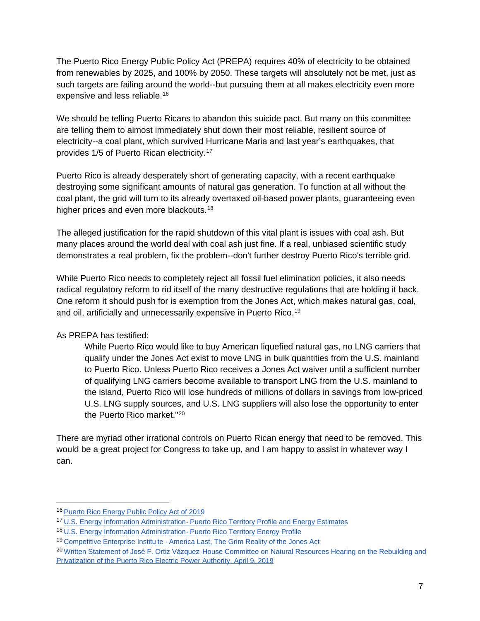The Puerto Rico Energy Public Policy Act (PREPA) requires 40% of electricity to be obtained from renewables by 2025, and 100% by 2050. These targets will absolutely not be met, just as such targets are failing around the world--but pursuing them at all makes electricity even more expensive and less reliable.[16](#page-6-0)

We should be telling Puerto Ricans to abandon this suicide pact. But many on this committee are telling them to almost immediately shut down their most reliable, resilient source of electricity--a coal plant, which survived Hurricane Maria and last year's earthquakes, that provides 1/5 of Puerto Rican electricity.[17](#page-6-1)

Puerto Rico is already desperately short of generating capacity, with a recent earthquake destroying some significant amounts of natural gas generation. To function at all without the coal plant, the grid will turn to its already overtaxed oil-based power plants, guaranteeing even higher prices and even more blackouts.<sup>[18](#page-6-2)</sup>

The alleged justification for the rapid shutdown of this vital plant is issues with coal ash. But many places around the world deal with coal ash just fine. If a real, unbiased scientific study demonstrates a real problem, fix the problem--don't further destroy Puerto Rico's terrible grid.

While Puerto Rico needs to completely reject all fossil fuel elimination policies, it also needs radical regulatory reform to rid itself of the many destructive regulations that are holding it back. One reform it should push for is exemption from the Jones Act, which makes natural gas, coal, and oil, artificially and unnecessarily expensive in Puerto Rico.[19](#page-6-3)

As PREPA has testified:

While Puerto Rico would like to buy American liquefied natural gas, no LNG carriers that qualify under the Jones Act exist to move LNG in bulk quantities from the U.S. mainland to Puerto Rico. Unless Puerto Rico receives a Jones Act waiver until a sufficient number of qualifying LNG carriers become available to transport LNG from the U.S. mainland to the island, Puerto Rico will lose hundreds of millions of dollars in savings from low-priced U.S. LNG supply sources, and U.S. LNG suppliers will also lose the opportunity to enter the Puerto Rico market."[20](#page-6-4)

There are myriad other irrational controls on Puerto Rican energy that need to be removed. This would be a great project for Congress to take up, and I am happy to assist in whatever way I can.

<span id="page-6-0"></span><sup>16</sup> [Puerto Rico Energy Public Policy Act of 2019](https://energia.pr.gov/wp-content/uploads/sites/7/2019/05/Act-17-2019.pdf)

<span id="page-6-1"></span><sup>17</sup> U.S. Energy Information Administration- [Puerto Rico Territory Profile and Energy Estimates](https://www.eia.gov/state/?sid=RQ)

<span id="page-6-2"></span><sup>18</sup> [U.S. Energy Information Administration -](https://www.eia.gov/state/print.php?sid=RQ) Puerto Rico Territory Energy Profile

<span id="page-6-3"></span><sup>&</sup>lt;sup>19</sup> Competitive Enterprise Institu te - [America Last, The Grim Reality of the Jones Ac](https://cei.org/studies/america-last/)t

<span id="page-6-4"></span><sup>&</sup>lt;sup>20</sup> Written Statement of José F. Ortiz Vázquez-[House Committee on Natural Resources Hearing on the Rebuilding and](https://naturalresources.house.gov/imo/media/doc/Testimony%20Ortiz%204.96.19.pdf) [Privatization of the Puerto Rico Electric Power Authority, April 9, 2019](https://naturalresources.house.gov/imo/media/doc/Testimony%20Ortiz%204.96.19.pdf)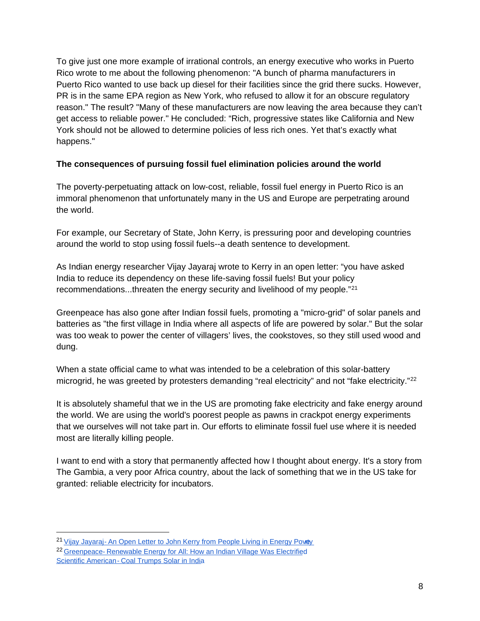To give just one more example of irrational controls, an energy executive who works in Puerto Rico wrote to me about the following phenomenon: "A bunch of pharma manufacturers in Puerto Rico wanted to use back up diesel for their facilities since the grid there sucks. However, PR is in the same EPA region as New York, who refused to allow it for an obscure regulatory reason." The result? "Many of these manufacturers are now leaving the area because they can't get access to reliable power." He concluded: "Rich, progressive states like California and New York should not be allowed to determine policies of less rich ones. Yet that's exactly what happens."

# **The consequences of pursuing fossil fuel elimination policies around the world**

The poverty-perpetuating attack on low-cost, reliable, fossil fuel energy in Puerto Rico is an immoral phenomenon that unfortunately many in the US and Europe are perpetrating around the world.

For example, our Secretary of State, John Kerry, is pressuring poor and developing countries around the world to stop using fossil fuels--a death sentence to development.

As Indian energy researcher Vijay Jayaraj wrote to Kerry in an open letter: "you have asked India to reduce its dependency on these life-saving fossil fuels! But your policy recommendations...threaten the energy security and livelihood of my people."[21](#page-7-0)

Greenpeace has also gone after Indian fossil fuels, promoting a "micro-grid" of solar panels and batteries as "the first village in India where all aspects of life are powered by solar." But the solar was too weak to power the center of villagers' lives, the cookstoves, so they still used wood and dung.

When a state official came to what was intended to be a celebration of this solar-battery microgrid, he was greeted by protesters demanding "real electricity" and not "fake electricity."<sup>[22](#page-7-1)</sup>

It is absolutely shameful that we in the US are promoting fake electricity and fake energy around the world. We are using the world's poorest people as pawns in crackpot energy experiments that we ourselves will not take part in. Our efforts to eliminate fossil fuel use where it is needed most are literally killing people.

I want to end with a story that permanently affected how I thought about energy. It's a story from The Gambia, a very poor Africa country, about the lack of something that we in the US take for granted: reliable electricity for incubators.

<span id="page-7-0"></span><sup>&</sup>lt;sup>21</sup> Vijay Jayaraj- An Open Letter to John Kerry from People Living in Energy Powey

<span id="page-7-1"></span><sup>&</sup>lt;sup>22</sup> Greenpeace- [Renewable Energy for All: How an Indian Village Was Electrified](https://www.greenpeace.org.au/blog/renewable-energy-for-all-how-an-indian-village-was-electrified/) Scientific American - [Coal Trumps Solar in India](https://www.scientificamerican.com/article/coal-trumps-solar-in-india/)